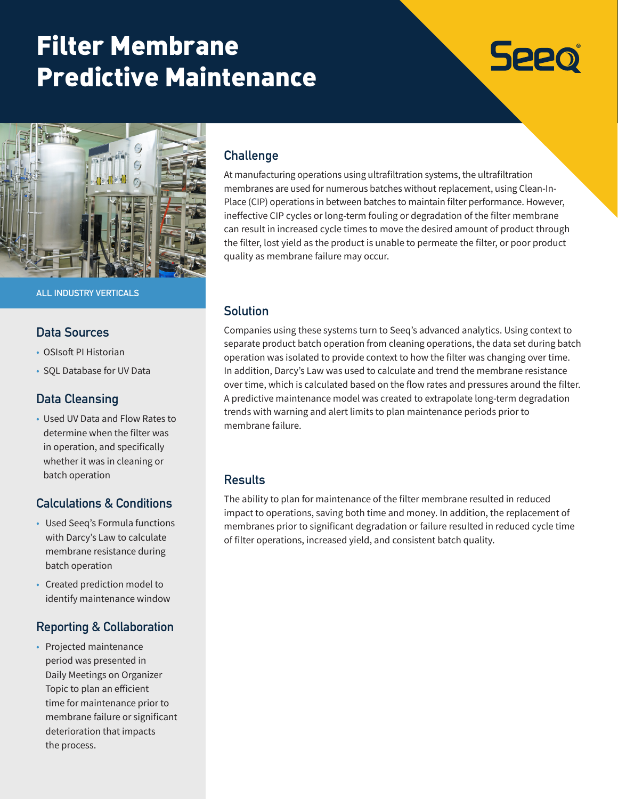# Filter Membrane Predictive Maintenance

# **Seeo**



**ALL INDUSTRY VERTICALS**

#### **Data Sources**

- OSIsoft PI Historian
- SQL Database for UV Data

#### **Data Cleansing**

• Used UV Data and Flow Rates to determine when the filter was in operation, and specifically whether it was in cleaning or batch operation

## **Calculations & Conditions**

- Used Seeq's Formula functions with Darcy's Law to calculate membrane resistance during batch operation
- Created prediction model to identify maintenance window

## **Reporting & Collaboration**

• Projected maintenance period was presented in Daily Meetings on Organizer Topic to plan an efficient time for maintenance prior to membrane failure or significant deterioration that impacts the process.

# **Challenge**

At manufacturing operations using ultrafiltration systems, the ultrafiltration membranes are used for numerous batches without replacement, using Clean-In-Place (CIP) operations in between batches to maintain filter performance. However, ineffective CIP cycles or long-term fouling or degradation of the filter membrane can result in increased cycle times to move the desired amount of product through the filter, lost yield as the product is unable to permeate the filter, or poor product quality as membrane failure may occur.

#### **Solution**

Companies using these systems turn to Seeq's advanced analytics. Using context to separate product batch operation from cleaning operations, the data set during batch operation was isolated to provide context to how the filter was changing over time. In addition, Darcy's Law was used to calculate and trend the membrane resistance over time, which is calculated based on the flow rates and pressures around the filter. A predictive maintenance model was created to extrapolate long-term degradation trends with warning and alert limits to plan maintenance periods prior to membrane failure.

#### **Results**

The ability to plan for maintenance of the filter membrane resulted in reduced impact to operations, saving both time and money. In addition, the replacement of membranes prior to significant degradation or failure resulted in reduced cycle time of filter operations, increased yield, and consistent batch quality.